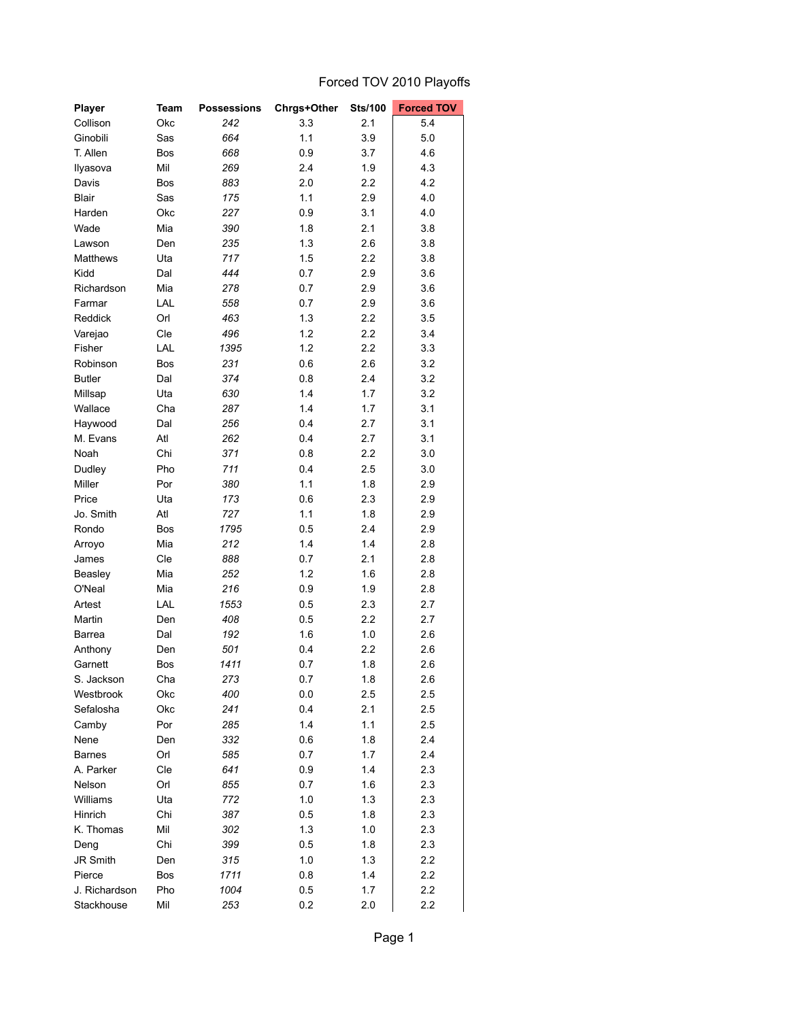## Forced TOV 2010 Playoffs

| Player        | Team       | <b>Possessions</b> | Chrgs+Other | <b>Sts/100</b> | <b>Forced TOV</b> |
|---------------|------------|--------------------|-------------|----------------|-------------------|
| Collison      | Okc        | 242                | 3.3         | 2.1            | 5.4               |
| Ginobili      | Sas        | 664                | 1.1         | 3.9            | 5.0               |
| T. Allen      | Bos        | 668                | 0.9         | 3.7            | 4.6               |
| Ilyasova      | Mil        | 269                | 2.4         | 1.9            | 4.3               |
| Davis         | Bos        | 883                | 2.0         | 2.2            | 4.2               |
| <b>Blair</b>  | Sas        | 175                | 1.1         | 2.9            | 4.0               |
| Harden        | Okc        | 227                | 0.9         | 3.1            | 4.0               |
| Wade          | Mia        | 390                | 1.8         | 2.1            | 3.8               |
| Lawson        | Den        | 235                | 1.3         | 2.6            | 3.8               |
| Matthews      | Uta        | 717                | 1.5         | 2.2            | 3.8               |
| Kidd          | Dal        | 444                | 0.7         | 2.9            | 3.6               |
| Richardson    | Mia        | 278                | 0.7         | 2.9            | 3.6               |
| Farmar        | LAL        | 558                | 0.7         | 2.9            | 3.6               |
| Reddick       | Orl        | 463                | 1.3         | 2.2            | 3.5               |
| Varejao       | Cle        | 496                | 1.2         | 2.2            | 3.4               |
| Fisher        | LAL        | 1395               | 1.2         | 2.2            | 3.3               |
| Robinson      | Bos        | 231                | 0.6         | 2.6            | 3.2               |
| <b>Butler</b> | Dal        | 374                | 0.8         | 2.4            | 3.2               |
| Millsap       | Uta        | 630                | 1.4         | 1.7            | 3.2               |
| Wallace       | Cha        | 287                | 1.4         | 1.7            | 3.1               |
| Haywood       | Dal        | 256                | 0.4         | 2.7            | 3.1               |
| M. Evans      | Atl        | 262                | 0.4         | 2.7            | 3.1               |
| Noah          | Chi        | 371                | 0.8         | 2.2            | 3.0               |
| Dudley        | Pho        | 711                | 0.4         | 2.5            | 3.0               |
| Miller        | Por        | 380                | 1.1         | 1.8            | 2.9               |
| Price         | Uta        | 173                | 0.6         | 2.3            | 2.9               |
| Jo. Smith     | Atl        | 727                | 1.1         | 1.8            | 2.9               |
| Rondo         | Bos        | 1795               | 0.5         | 2.4            | 2.9               |
|               |            |                    |             |                |                   |
| Arroyo        | Mia        | 212                | 1.4         | 1.4            | 2.8               |
| James         | Cle        | 888                | 0.7         | 2.1            | 2.8               |
| Beasley       | Mia        | 252                | 1.2         | 1.6            | 2.8               |
| O'Neal        | Mia<br>LAL | 216<br>1553        | 0.9         | 1.9<br>2.3     | 2.8               |
| Artest        |            |                    | 0.5         |                | 2.7<br>2.7        |
| Martin        | Den        | 408                | 0.5         | 2.2            |                   |
| Barrea        | Dal        | 192                | 1.6         | 1.0            | 2.6               |
| Anthony       | Den        | 501                | 0.4         | 2.2            | 2.6               |
| Garnett       | Bos        | 1411               | 0.7         | 1.8            | 2.6               |
| S. Jackson    | Cha        | 273                | 0.7         | 1.8            | 2.6               |
| Westbrook     | Okc        | 400                | 0.0         | 2.5            | 2.5               |
| Sefalosha     | Okc        | 241                | 0.4         | 2.1            | 2.5               |
| Camby         | Por        | 285                | 1.4         | 1.1            | 2.5               |
| Nene          | Den        | 332                | 0.6         | 1.8            | 2.4               |
| <b>Barnes</b> | Orl        | 585                | 0.7         | 1.7            | 2.4               |
| A. Parker     | Cle        | 641                | 0.9         | 1.4            | 2.3               |
| Nelson        | Orl        | 855                | 0.7         | 1.6            | 2.3               |
| Williams      | Uta        | 772                | 1.0         | 1.3            | 2.3               |
| Hinrich       | Chi        | 387                | 0.5         | 1.8            | 2.3               |
| K. Thomas     | Mil        | 302                | $1.3$       | $1.0\,$        | 2.3               |
| Deng          | Chi        | 399                | 0.5         | 1.8            | 2.3               |
| JR Smith      | Den        | 315                | 1.0         | 1.3            | 2.2               |
| Pierce        | Bos        | 1711               | 0.8         | 1.4            | 2.2               |
| J. Richardson | Pho        | 1004               | 0.5         | 1.7            | 2.2               |
| Stackhouse    | Mil        | 253                | 0.2         | 2.0            | 2.2               |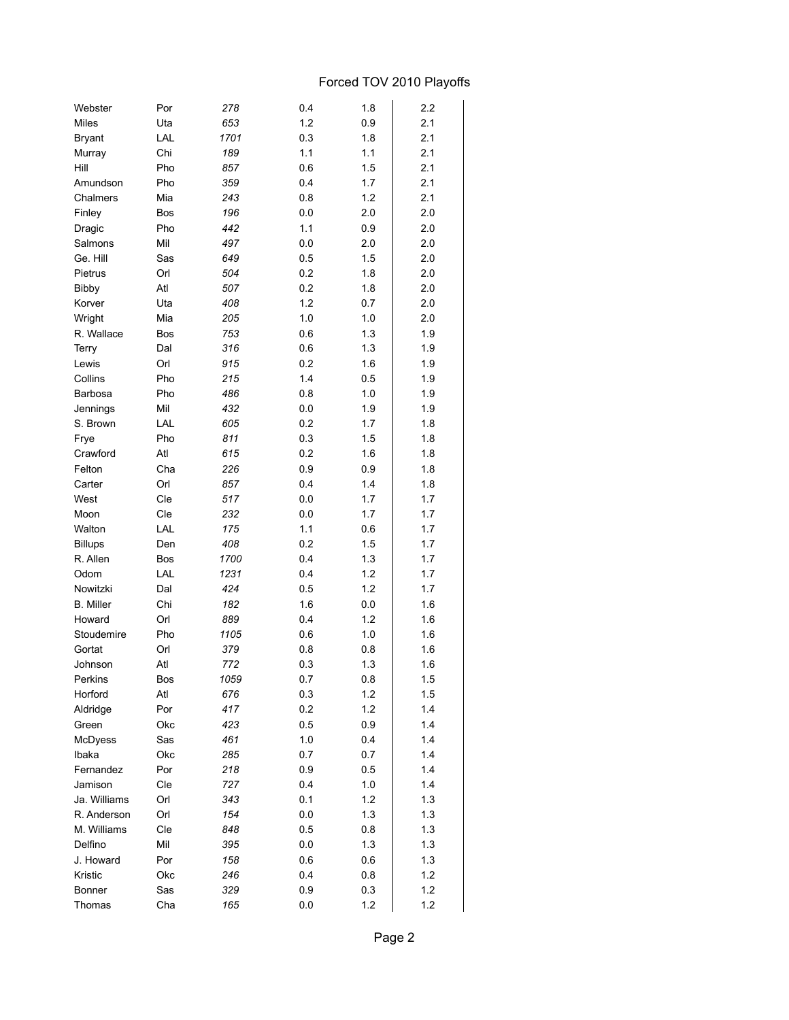## Forced TOV 2010 Playoffs

| 1.2<br>2.1<br><b>Miles</b><br>Uta<br>653<br>0.9<br>2.1<br>LAL<br>1701<br>0.3<br>1.8<br><b>Bryant</b><br>2.1<br>Chi<br>189<br>1.1<br>1.1<br>Murray<br>2.1<br>Hill<br>Pho<br>857<br>0.6<br>1.5<br>2.1<br>Pho<br>359<br>0.4<br>1.7<br>Amundson<br>2.1<br>Chalmers<br>Mia<br>243<br>0.8<br>1.2<br>196<br>0.0<br>2.0<br>Finley<br><b>Bos</b><br>2.0<br>Pho<br>442<br>1.1<br>0.9<br>2.0<br>Dragic<br>497<br>Mil<br>0.0<br>2.0<br>Salmons<br>2.0<br>Ge. Hill<br>Sas<br>649<br>1.5<br>2.0<br>0.5<br>504<br>Pietrus<br>Orl<br>0.2<br>1.8<br>2.0<br>Atl<br>507<br>0.2<br>Bibby<br>1.8<br>2.0<br>408<br>1.2<br>0.7<br>2.0<br>Korver<br>Uta<br>Wright<br>Mia<br>205<br>1.0<br>1.0<br>2.0<br>R. Wallace<br>753<br>0.6<br>1.3<br>1.9<br>Bos<br>316<br>1.9<br><b>Terry</b><br>Dal<br>0.6<br>1.3<br>915<br>0.2<br>1.9<br>Lewis<br>Orl<br>1.6<br>Pho<br>215<br>1.4<br>1.9<br>Collins<br>0.5<br>Pho<br>486<br>0.8<br>1.0<br>1.9<br>Barbosa<br>Mil<br>432<br>1.9<br>1.9<br>Jennings<br>0.0<br>LAL<br>605<br>0.2<br>1.7<br>1.8<br>S. Brown<br>Pho<br>811<br>0.3<br>1.8<br>Frye<br>1.5<br>Atl<br>615<br>0.2<br>1.8<br>Crawford<br>1.6<br>Felton<br>Cha<br>226<br>0.9<br>1.8<br>0.9<br>Orl<br>857<br>0.4<br>Carter<br>1.4<br>1.8<br>West<br>Cle<br>517<br>1.7<br>0.0<br>1.7<br>Cle<br>232<br>0.0<br>1.7<br>1.7<br>Moon<br>175<br>Walton<br>LAL<br>1.1<br>1.7<br>0.6<br>408<br>0.2<br>1.7<br><b>Billups</b><br>Den<br>1.5<br>R. Allen<br>1700<br>1.3<br>1.7<br><b>Bos</b><br>0.4<br>Odom<br>LAL<br>1231<br>1.2<br>1.7<br>0.4<br>Nowitzki<br>424<br>1.2<br>1.7<br>Dal<br>0.5<br><b>B.</b> Miller<br>Chi<br>182<br>1.6<br>0.0<br>1.6<br>Howard<br>Orl<br>889<br>1.2<br>1.6<br>0.4<br>Stoudemire<br>Pho<br>1105<br>1.0<br>1.6<br>0.6<br>379<br>1.6<br>Gortat<br>Orl<br>0.8<br>0.8<br>Atl<br>772<br>0.3<br>1.3<br>1.6<br>Johnson<br>Bos<br>1059<br>$0.8\,$<br>Perkins<br>0.7<br>1.5<br>Horford<br>Atl<br>676<br>0.3<br>1.2<br>1.5<br>1.2<br>Aldridge<br>Por<br>417<br>0.2<br>1.4<br>423<br>0.5<br>0.9<br>1.4<br>Green<br>Okc<br>McDyess<br>Sas<br>461<br>1.0<br>0.4<br>1.4<br>Ibaka<br>Okc<br>285<br>0.7<br>0.7<br>1.4<br>Fernandez<br>Por<br>218<br>0.9<br>0.5<br>1.4<br>Jamison<br>Cle<br>727<br>0.4<br>1.0<br>1.4<br>Ja. Williams<br>Orl<br>343<br>0.1<br>1.2<br>1.3<br>154<br>1.3<br>R. Anderson<br>Orl<br>0.0<br>1.3<br>M. Williams<br>Cle<br>848<br>0.5<br>0.8<br>1.3<br>$1.3$<br>Delfino<br>Mil<br>395<br>0.0<br>1.3<br>J. Howard<br>Por<br>158<br>0.6<br>0.6<br>1.3<br>Kristic<br>Okc<br>246<br>0.4<br>0.8<br>1.2<br>0.3<br>1.2<br>Bonner<br>Sas<br>329<br>0.9<br>1.2<br>1.2<br>Thomas<br>Cha<br>165<br>0.0 | Webster | Por | 278 | 0.4 | 1.8 | 2.2 |
|------------------------------------------------------------------------------------------------------------------------------------------------------------------------------------------------------------------------------------------------------------------------------------------------------------------------------------------------------------------------------------------------------------------------------------------------------------------------------------------------------------------------------------------------------------------------------------------------------------------------------------------------------------------------------------------------------------------------------------------------------------------------------------------------------------------------------------------------------------------------------------------------------------------------------------------------------------------------------------------------------------------------------------------------------------------------------------------------------------------------------------------------------------------------------------------------------------------------------------------------------------------------------------------------------------------------------------------------------------------------------------------------------------------------------------------------------------------------------------------------------------------------------------------------------------------------------------------------------------------------------------------------------------------------------------------------------------------------------------------------------------------------------------------------------------------------------------------------------------------------------------------------------------------------------------------------------------------------------------------------------------------------------------------------------------------------------------------------------------------------------------------------------------------------------------------------------------------------------------------------------------------------------------------------------------------------------------------------------------------------------------------------------------------------------------------------------------------------------------------------------------------------------------------------------------------------------------------|---------|-----|-----|-----|-----|-----|
|                                                                                                                                                                                                                                                                                                                                                                                                                                                                                                                                                                                                                                                                                                                                                                                                                                                                                                                                                                                                                                                                                                                                                                                                                                                                                                                                                                                                                                                                                                                                                                                                                                                                                                                                                                                                                                                                                                                                                                                                                                                                                                                                                                                                                                                                                                                                                                                                                                                                                                                                                                                          |         |     |     |     |     |     |
|                                                                                                                                                                                                                                                                                                                                                                                                                                                                                                                                                                                                                                                                                                                                                                                                                                                                                                                                                                                                                                                                                                                                                                                                                                                                                                                                                                                                                                                                                                                                                                                                                                                                                                                                                                                                                                                                                                                                                                                                                                                                                                                                                                                                                                                                                                                                                                                                                                                                                                                                                                                          |         |     |     |     |     |     |
|                                                                                                                                                                                                                                                                                                                                                                                                                                                                                                                                                                                                                                                                                                                                                                                                                                                                                                                                                                                                                                                                                                                                                                                                                                                                                                                                                                                                                                                                                                                                                                                                                                                                                                                                                                                                                                                                                                                                                                                                                                                                                                                                                                                                                                                                                                                                                                                                                                                                                                                                                                                          |         |     |     |     |     |     |
|                                                                                                                                                                                                                                                                                                                                                                                                                                                                                                                                                                                                                                                                                                                                                                                                                                                                                                                                                                                                                                                                                                                                                                                                                                                                                                                                                                                                                                                                                                                                                                                                                                                                                                                                                                                                                                                                                                                                                                                                                                                                                                                                                                                                                                                                                                                                                                                                                                                                                                                                                                                          |         |     |     |     |     |     |
|                                                                                                                                                                                                                                                                                                                                                                                                                                                                                                                                                                                                                                                                                                                                                                                                                                                                                                                                                                                                                                                                                                                                                                                                                                                                                                                                                                                                                                                                                                                                                                                                                                                                                                                                                                                                                                                                                                                                                                                                                                                                                                                                                                                                                                                                                                                                                                                                                                                                                                                                                                                          |         |     |     |     |     |     |
|                                                                                                                                                                                                                                                                                                                                                                                                                                                                                                                                                                                                                                                                                                                                                                                                                                                                                                                                                                                                                                                                                                                                                                                                                                                                                                                                                                                                                                                                                                                                                                                                                                                                                                                                                                                                                                                                                                                                                                                                                                                                                                                                                                                                                                                                                                                                                                                                                                                                                                                                                                                          |         |     |     |     |     |     |
|                                                                                                                                                                                                                                                                                                                                                                                                                                                                                                                                                                                                                                                                                                                                                                                                                                                                                                                                                                                                                                                                                                                                                                                                                                                                                                                                                                                                                                                                                                                                                                                                                                                                                                                                                                                                                                                                                                                                                                                                                                                                                                                                                                                                                                                                                                                                                                                                                                                                                                                                                                                          |         |     |     |     |     |     |
|                                                                                                                                                                                                                                                                                                                                                                                                                                                                                                                                                                                                                                                                                                                                                                                                                                                                                                                                                                                                                                                                                                                                                                                                                                                                                                                                                                                                                                                                                                                                                                                                                                                                                                                                                                                                                                                                                                                                                                                                                                                                                                                                                                                                                                                                                                                                                                                                                                                                                                                                                                                          |         |     |     |     |     |     |
|                                                                                                                                                                                                                                                                                                                                                                                                                                                                                                                                                                                                                                                                                                                                                                                                                                                                                                                                                                                                                                                                                                                                                                                                                                                                                                                                                                                                                                                                                                                                                                                                                                                                                                                                                                                                                                                                                                                                                                                                                                                                                                                                                                                                                                                                                                                                                                                                                                                                                                                                                                                          |         |     |     |     |     |     |
|                                                                                                                                                                                                                                                                                                                                                                                                                                                                                                                                                                                                                                                                                                                                                                                                                                                                                                                                                                                                                                                                                                                                                                                                                                                                                                                                                                                                                                                                                                                                                                                                                                                                                                                                                                                                                                                                                                                                                                                                                                                                                                                                                                                                                                                                                                                                                                                                                                                                                                                                                                                          |         |     |     |     |     |     |
|                                                                                                                                                                                                                                                                                                                                                                                                                                                                                                                                                                                                                                                                                                                                                                                                                                                                                                                                                                                                                                                                                                                                                                                                                                                                                                                                                                                                                                                                                                                                                                                                                                                                                                                                                                                                                                                                                                                                                                                                                                                                                                                                                                                                                                                                                                                                                                                                                                                                                                                                                                                          |         |     |     |     |     |     |
|                                                                                                                                                                                                                                                                                                                                                                                                                                                                                                                                                                                                                                                                                                                                                                                                                                                                                                                                                                                                                                                                                                                                                                                                                                                                                                                                                                                                                                                                                                                                                                                                                                                                                                                                                                                                                                                                                                                                                                                                                                                                                                                                                                                                                                                                                                                                                                                                                                                                                                                                                                                          |         |     |     |     |     |     |
|                                                                                                                                                                                                                                                                                                                                                                                                                                                                                                                                                                                                                                                                                                                                                                                                                                                                                                                                                                                                                                                                                                                                                                                                                                                                                                                                                                                                                                                                                                                                                                                                                                                                                                                                                                                                                                                                                                                                                                                                                                                                                                                                                                                                                                                                                                                                                                                                                                                                                                                                                                                          |         |     |     |     |     |     |
|                                                                                                                                                                                                                                                                                                                                                                                                                                                                                                                                                                                                                                                                                                                                                                                                                                                                                                                                                                                                                                                                                                                                                                                                                                                                                                                                                                                                                                                                                                                                                                                                                                                                                                                                                                                                                                                                                                                                                                                                                                                                                                                                                                                                                                                                                                                                                                                                                                                                                                                                                                                          |         |     |     |     |     |     |
|                                                                                                                                                                                                                                                                                                                                                                                                                                                                                                                                                                                                                                                                                                                                                                                                                                                                                                                                                                                                                                                                                                                                                                                                                                                                                                                                                                                                                                                                                                                                                                                                                                                                                                                                                                                                                                                                                                                                                                                                                                                                                                                                                                                                                                                                                                                                                                                                                                                                                                                                                                                          |         |     |     |     |     |     |
|                                                                                                                                                                                                                                                                                                                                                                                                                                                                                                                                                                                                                                                                                                                                                                                                                                                                                                                                                                                                                                                                                                                                                                                                                                                                                                                                                                                                                                                                                                                                                                                                                                                                                                                                                                                                                                                                                                                                                                                                                                                                                                                                                                                                                                                                                                                                                                                                                                                                                                                                                                                          |         |     |     |     |     |     |
|                                                                                                                                                                                                                                                                                                                                                                                                                                                                                                                                                                                                                                                                                                                                                                                                                                                                                                                                                                                                                                                                                                                                                                                                                                                                                                                                                                                                                                                                                                                                                                                                                                                                                                                                                                                                                                                                                                                                                                                                                                                                                                                                                                                                                                                                                                                                                                                                                                                                                                                                                                                          |         |     |     |     |     |     |
|                                                                                                                                                                                                                                                                                                                                                                                                                                                                                                                                                                                                                                                                                                                                                                                                                                                                                                                                                                                                                                                                                                                                                                                                                                                                                                                                                                                                                                                                                                                                                                                                                                                                                                                                                                                                                                                                                                                                                                                                                                                                                                                                                                                                                                                                                                                                                                                                                                                                                                                                                                                          |         |     |     |     |     |     |
|                                                                                                                                                                                                                                                                                                                                                                                                                                                                                                                                                                                                                                                                                                                                                                                                                                                                                                                                                                                                                                                                                                                                                                                                                                                                                                                                                                                                                                                                                                                                                                                                                                                                                                                                                                                                                                                                                                                                                                                                                                                                                                                                                                                                                                                                                                                                                                                                                                                                                                                                                                                          |         |     |     |     |     |     |
|                                                                                                                                                                                                                                                                                                                                                                                                                                                                                                                                                                                                                                                                                                                                                                                                                                                                                                                                                                                                                                                                                                                                                                                                                                                                                                                                                                                                                                                                                                                                                                                                                                                                                                                                                                                                                                                                                                                                                                                                                                                                                                                                                                                                                                                                                                                                                                                                                                                                                                                                                                                          |         |     |     |     |     |     |
|                                                                                                                                                                                                                                                                                                                                                                                                                                                                                                                                                                                                                                                                                                                                                                                                                                                                                                                                                                                                                                                                                                                                                                                                                                                                                                                                                                                                                                                                                                                                                                                                                                                                                                                                                                                                                                                                                                                                                                                                                                                                                                                                                                                                                                                                                                                                                                                                                                                                                                                                                                                          |         |     |     |     |     |     |
|                                                                                                                                                                                                                                                                                                                                                                                                                                                                                                                                                                                                                                                                                                                                                                                                                                                                                                                                                                                                                                                                                                                                                                                                                                                                                                                                                                                                                                                                                                                                                                                                                                                                                                                                                                                                                                                                                                                                                                                                                                                                                                                                                                                                                                                                                                                                                                                                                                                                                                                                                                                          |         |     |     |     |     |     |
|                                                                                                                                                                                                                                                                                                                                                                                                                                                                                                                                                                                                                                                                                                                                                                                                                                                                                                                                                                                                                                                                                                                                                                                                                                                                                                                                                                                                                                                                                                                                                                                                                                                                                                                                                                                                                                                                                                                                                                                                                                                                                                                                                                                                                                                                                                                                                                                                                                                                                                                                                                                          |         |     |     |     |     |     |
|                                                                                                                                                                                                                                                                                                                                                                                                                                                                                                                                                                                                                                                                                                                                                                                                                                                                                                                                                                                                                                                                                                                                                                                                                                                                                                                                                                                                                                                                                                                                                                                                                                                                                                                                                                                                                                                                                                                                                                                                                                                                                                                                                                                                                                                                                                                                                                                                                                                                                                                                                                                          |         |     |     |     |     |     |
|                                                                                                                                                                                                                                                                                                                                                                                                                                                                                                                                                                                                                                                                                                                                                                                                                                                                                                                                                                                                                                                                                                                                                                                                                                                                                                                                                                                                                                                                                                                                                                                                                                                                                                                                                                                                                                                                                                                                                                                                                                                                                                                                                                                                                                                                                                                                                                                                                                                                                                                                                                                          |         |     |     |     |     |     |
|                                                                                                                                                                                                                                                                                                                                                                                                                                                                                                                                                                                                                                                                                                                                                                                                                                                                                                                                                                                                                                                                                                                                                                                                                                                                                                                                                                                                                                                                                                                                                                                                                                                                                                                                                                                                                                                                                                                                                                                                                                                                                                                                                                                                                                                                                                                                                                                                                                                                                                                                                                                          |         |     |     |     |     |     |
|                                                                                                                                                                                                                                                                                                                                                                                                                                                                                                                                                                                                                                                                                                                                                                                                                                                                                                                                                                                                                                                                                                                                                                                                                                                                                                                                                                                                                                                                                                                                                                                                                                                                                                                                                                                                                                                                                                                                                                                                                                                                                                                                                                                                                                                                                                                                                                                                                                                                                                                                                                                          |         |     |     |     |     |     |
|                                                                                                                                                                                                                                                                                                                                                                                                                                                                                                                                                                                                                                                                                                                                                                                                                                                                                                                                                                                                                                                                                                                                                                                                                                                                                                                                                                                                                                                                                                                                                                                                                                                                                                                                                                                                                                                                                                                                                                                                                                                                                                                                                                                                                                                                                                                                                                                                                                                                                                                                                                                          |         |     |     |     |     |     |
|                                                                                                                                                                                                                                                                                                                                                                                                                                                                                                                                                                                                                                                                                                                                                                                                                                                                                                                                                                                                                                                                                                                                                                                                                                                                                                                                                                                                                                                                                                                                                                                                                                                                                                                                                                                                                                                                                                                                                                                                                                                                                                                                                                                                                                                                                                                                                                                                                                                                                                                                                                                          |         |     |     |     |     |     |
|                                                                                                                                                                                                                                                                                                                                                                                                                                                                                                                                                                                                                                                                                                                                                                                                                                                                                                                                                                                                                                                                                                                                                                                                                                                                                                                                                                                                                                                                                                                                                                                                                                                                                                                                                                                                                                                                                                                                                                                                                                                                                                                                                                                                                                                                                                                                                                                                                                                                                                                                                                                          |         |     |     |     |     |     |
|                                                                                                                                                                                                                                                                                                                                                                                                                                                                                                                                                                                                                                                                                                                                                                                                                                                                                                                                                                                                                                                                                                                                                                                                                                                                                                                                                                                                                                                                                                                                                                                                                                                                                                                                                                                                                                                                                                                                                                                                                                                                                                                                                                                                                                                                                                                                                                                                                                                                                                                                                                                          |         |     |     |     |     |     |
|                                                                                                                                                                                                                                                                                                                                                                                                                                                                                                                                                                                                                                                                                                                                                                                                                                                                                                                                                                                                                                                                                                                                                                                                                                                                                                                                                                                                                                                                                                                                                                                                                                                                                                                                                                                                                                                                                                                                                                                                                                                                                                                                                                                                                                                                                                                                                                                                                                                                                                                                                                                          |         |     |     |     |     |     |
|                                                                                                                                                                                                                                                                                                                                                                                                                                                                                                                                                                                                                                                                                                                                                                                                                                                                                                                                                                                                                                                                                                                                                                                                                                                                                                                                                                                                                                                                                                                                                                                                                                                                                                                                                                                                                                                                                                                                                                                                                                                                                                                                                                                                                                                                                                                                                                                                                                                                                                                                                                                          |         |     |     |     |     |     |
|                                                                                                                                                                                                                                                                                                                                                                                                                                                                                                                                                                                                                                                                                                                                                                                                                                                                                                                                                                                                                                                                                                                                                                                                                                                                                                                                                                                                                                                                                                                                                                                                                                                                                                                                                                                                                                                                                                                                                                                                                                                                                                                                                                                                                                                                                                                                                                                                                                                                                                                                                                                          |         |     |     |     |     |     |
|                                                                                                                                                                                                                                                                                                                                                                                                                                                                                                                                                                                                                                                                                                                                                                                                                                                                                                                                                                                                                                                                                                                                                                                                                                                                                                                                                                                                                                                                                                                                                                                                                                                                                                                                                                                                                                                                                                                                                                                                                                                                                                                                                                                                                                                                                                                                                                                                                                                                                                                                                                                          |         |     |     |     |     |     |
|                                                                                                                                                                                                                                                                                                                                                                                                                                                                                                                                                                                                                                                                                                                                                                                                                                                                                                                                                                                                                                                                                                                                                                                                                                                                                                                                                                                                                                                                                                                                                                                                                                                                                                                                                                                                                                                                                                                                                                                                                                                                                                                                                                                                                                                                                                                                                                                                                                                                                                                                                                                          |         |     |     |     |     |     |
|                                                                                                                                                                                                                                                                                                                                                                                                                                                                                                                                                                                                                                                                                                                                                                                                                                                                                                                                                                                                                                                                                                                                                                                                                                                                                                                                                                                                                                                                                                                                                                                                                                                                                                                                                                                                                                                                                                                                                                                                                                                                                                                                                                                                                                                                                                                                                                                                                                                                                                                                                                                          |         |     |     |     |     |     |
|                                                                                                                                                                                                                                                                                                                                                                                                                                                                                                                                                                                                                                                                                                                                                                                                                                                                                                                                                                                                                                                                                                                                                                                                                                                                                                                                                                                                                                                                                                                                                                                                                                                                                                                                                                                                                                                                                                                                                                                                                                                                                                                                                                                                                                                                                                                                                                                                                                                                                                                                                                                          |         |     |     |     |     |     |
|                                                                                                                                                                                                                                                                                                                                                                                                                                                                                                                                                                                                                                                                                                                                                                                                                                                                                                                                                                                                                                                                                                                                                                                                                                                                                                                                                                                                                                                                                                                                                                                                                                                                                                                                                                                                                                                                                                                                                                                                                                                                                                                                                                                                                                                                                                                                                                                                                                                                                                                                                                                          |         |     |     |     |     |     |
|                                                                                                                                                                                                                                                                                                                                                                                                                                                                                                                                                                                                                                                                                                                                                                                                                                                                                                                                                                                                                                                                                                                                                                                                                                                                                                                                                                                                                                                                                                                                                                                                                                                                                                                                                                                                                                                                                                                                                                                                                                                                                                                                                                                                                                                                                                                                                                                                                                                                                                                                                                                          |         |     |     |     |     |     |
|                                                                                                                                                                                                                                                                                                                                                                                                                                                                                                                                                                                                                                                                                                                                                                                                                                                                                                                                                                                                                                                                                                                                                                                                                                                                                                                                                                                                                                                                                                                                                                                                                                                                                                                                                                                                                                                                                                                                                                                                                                                                                                                                                                                                                                                                                                                                                                                                                                                                                                                                                                                          |         |     |     |     |     |     |
|                                                                                                                                                                                                                                                                                                                                                                                                                                                                                                                                                                                                                                                                                                                                                                                                                                                                                                                                                                                                                                                                                                                                                                                                                                                                                                                                                                                                                                                                                                                                                                                                                                                                                                                                                                                                                                                                                                                                                                                                                                                                                                                                                                                                                                                                                                                                                                                                                                                                                                                                                                                          |         |     |     |     |     |     |
|                                                                                                                                                                                                                                                                                                                                                                                                                                                                                                                                                                                                                                                                                                                                                                                                                                                                                                                                                                                                                                                                                                                                                                                                                                                                                                                                                                                                                                                                                                                                                                                                                                                                                                                                                                                                                                                                                                                                                                                                                                                                                                                                                                                                                                                                                                                                                                                                                                                                                                                                                                                          |         |     |     |     |     |     |
|                                                                                                                                                                                                                                                                                                                                                                                                                                                                                                                                                                                                                                                                                                                                                                                                                                                                                                                                                                                                                                                                                                                                                                                                                                                                                                                                                                                                                                                                                                                                                                                                                                                                                                                                                                                                                                                                                                                                                                                                                                                                                                                                                                                                                                                                                                                                                                                                                                                                                                                                                                                          |         |     |     |     |     |     |
|                                                                                                                                                                                                                                                                                                                                                                                                                                                                                                                                                                                                                                                                                                                                                                                                                                                                                                                                                                                                                                                                                                                                                                                                                                                                                                                                                                                                                                                                                                                                                                                                                                                                                                                                                                                                                                                                                                                                                                                                                                                                                                                                                                                                                                                                                                                                                                                                                                                                                                                                                                                          |         |     |     |     |     |     |
|                                                                                                                                                                                                                                                                                                                                                                                                                                                                                                                                                                                                                                                                                                                                                                                                                                                                                                                                                                                                                                                                                                                                                                                                                                                                                                                                                                                                                                                                                                                                                                                                                                                                                                                                                                                                                                                                                                                                                                                                                                                                                                                                                                                                                                                                                                                                                                                                                                                                                                                                                                                          |         |     |     |     |     |     |
|                                                                                                                                                                                                                                                                                                                                                                                                                                                                                                                                                                                                                                                                                                                                                                                                                                                                                                                                                                                                                                                                                                                                                                                                                                                                                                                                                                                                                                                                                                                                                                                                                                                                                                                                                                                                                                                                                                                                                                                                                                                                                                                                                                                                                                                                                                                                                                                                                                                                                                                                                                                          |         |     |     |     |     |     |
|                                                                                                                                                                                                                                                                                                                                                                                                                                                                                                                                                                                                                                                                                                                                                                                                                                                                                                                                                                                                                                                                                                                                                                                                                                                                                                                                                                                                                                                                                                                                                                                                                                                                                                                                                                                                                                                                                                                                                                                                                                                                                                                                                                                                                                                                                                                                                                                                                                                                                                                                                                                          |         |     |     |     |     |     |
|                                                                                                                                                                                                                                                                                                                                                                                                                                                                                                                                                                                                                                                                                                                                                                                                                                                                                                                                                                                                                                                                                                                                                                                                                                                                                                                                                                                                                                                                                                                                                                                                                                                                                                                                                                                                                                                                                                                                                                                                                                                                                                                                                                                                                                                                                                                                                                                                                                                                                                                                                                                          |         |     |     |     |     |     |
|                                                                                                                                                                                                                                                                                                                                                                                                                                                                                                                                                                                                                                                                                                                                                                                                                                                                                                                                                                                                                                                                                                                                                                                                                                                                                                                                                                                                                                                                                                                                                                                                                                                                                                                                                                                                                                                                                                                                                                                                                                                                                                                                                                                                                                                                                                                                                                                                                                                                                                                                                                                          |         |     |     |     |     |     |
|                                                                                                                                                                                                                                                                                                                                                                                                                                                                                                                                                                                                                                                                                                                                                                                                                                                                                                                                                                                                                                                                                                                                                                                                                                                                                                                                                                                                                                                                                                                                                                                                                                                                                                                                                                                                                                                                                                                                                                                                                                                                                                                                                                                                                                                                                                                                                                                                                                                                                                                                                                                          |         |     |     |     |     |     |
|                                                                                                                                                                                                                                                                                                                                                                                                                                                                                                                                                                                                                                                                                                                                                                                                                                                                                                                                                                                                                                                                                                                                                                                                                                                                                                                                                                                                                                                                                                                                                                                                                                                                                                                                                                                                                                                                                                                                                                                                                                                                                                                                                                                                                                                                                                                                                                                                                                                                                                                                                                                          |         |     |     |     |     |     |
|                                                                                                                                                                                                                                                                                                                                                                                                                                                                                                                                                                                                                                                                                                                                                                                                                                                                                                                                                                                                                                                                                                                                                                                                                                                                                                                                                                                                                                                                                                                                                                                                                                                                                                                                                                                                                                                                                                                                                                                                                                                                                                                                                                                                                                                                                                                                                                                                                                                                                                                                                                                          |         |     |     |     |     |     |
|                                                                                                                                                                                                                                                                                                                                                                                                                                                                                                                                                                                                                                                                                                                                                                                                                                                                                                                                                                                                                                                                                                                                                                                                                                                                                                                                                                                                                                                                                                                                                                                                                                                                                                                                                                                                                                                                                                                                                                                                                                                                                                                                                                                                                                                                                                                                                                                                                                                                                                                                                                                          |         |     |     |     |     |     |